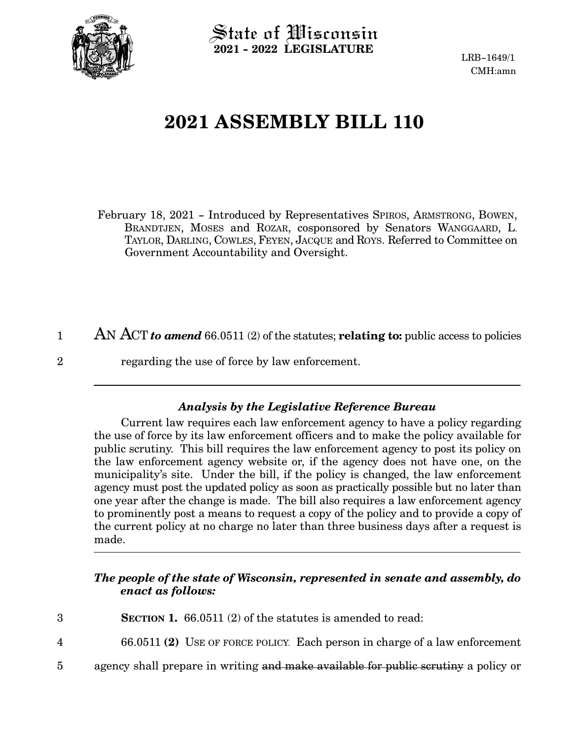

 $\operatorname{\mathsf{State}}$  of Wisconsin **2021 - 2022 LEGISLATURE**

LRB-1649/1 CMH:amn

## **2021 ASSEMBLY BILL 110**

February 18, 2021 - Introduced by Representatives SPIROS, ARMSTRONG, BOWEN, BRANDTJEN, MOSES and ROZAR, cosponsored by Senators WANGGAARD, L. TAYLOR, DARLING, COWLES, FEYEN, JACQUE and ROYS. Referred to Committee on Government Accountability and Oversight.

AN ACT *to amend* 66.0511 (2) of the statutes; **relating to:** public access to policies regarding the use of force by law enforcement. 1 2

## *Analysis by the Legislative Reference Bureau*

Current law requires each law enforcement agency to have a policy regarding the use of force by its law enforcement officers and to make the policy available for public scrutiny. This bill requires the law enforcement agency to post its policy on the law enforcement agency website or, if the agency does not have one, on the municipality's site. Under the bill, if the policy is changed, the law enforcement agency must post the updated policy as soon as practically possible but no later than one year after the change is made. The bill also requires a law enforcement agency to prominently post a means to request a copy of the policy and to provide a copy of the current policy at no charge no later than three business days after a request is made.

## *The people of the state of Wisconsin, represented in senate and assembly, do enact as follows:*

- **SECTION 1.** 66.0511 (2) of the statutes is amended to read: 3
- 66.0511 **(2)** USE OF FORCE POLICY. Each person in charge of a law enforcement 4
- agency shall prepare in writing and make available for public scrutiny a policy or  $5^{\circ}$